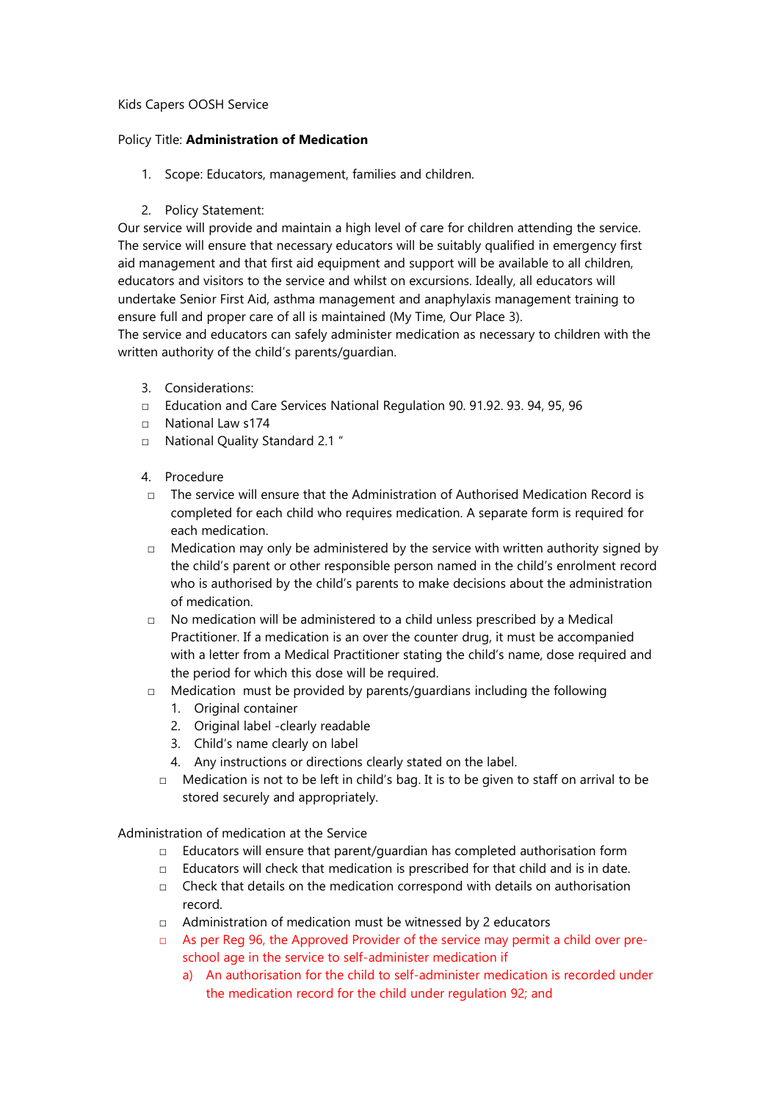## Kids Capers OOSH Service

## Policy Title: Administration of Medication

- 1. Scope: Educators, management, families and children.
- 2. Policy Statement:

Our service will provide and maintain a high level of care for children attending the service. The service will ensure that necessary educators will be suitably qualified in emergency first aid management and that first aid equipment and support will be available to all children, educators and visitors to the service and whilst on excursions. Ideally, all educators will undertake Senior First Aid, asthma management and anaphylaxis management training to ensure full and proper care of all is maintained (My Time, Our Place 3).

The service and educators can safely administer medication as necessary to children with the written authority of the child's parents/guardian.

- 3. Considerations:
- □ Education and Care Services National Regulation 90. 91.92. 93. 94, 95, 96
- □ National Law s174
- □ National Quality Standard 2.1 "
- 4. Procedure
- $\nabla$  The service will ensure that the Administration of Authorised Medication Record is completed for each child who requires medication. A separate form is required for each medication.
- $\Box$  Medication may only be administered by the service with written authority signed by the child's parent or other responsible person named in the child's enrolment record who is authorised by the child's parents to make decisions about the administration of medication.
- □ No medication will be administered to a child unless prescribed by a Medical Practitioner. If a medication is an over the counter drug, it must be accompanied with a letter from a Medical Practitioner stating the child's name, dose required and the period for which this dose will be required.
- $\Box$  Medication must be provided by parents/quardians including the following
	- 1. Original container
	- 2. Original label -clearly readable
	- 3. Child's name clearly on label
	- 4. Any instructions or directions clearly stated on the label.
	- □ Medication is not to be left in child's bag. It is to be given to staff on arrival to be stored securely and appropriately.

Administration of medication at the Service

- □ Educators will ensure that parent/guardian has completed authorisation form
- $\Box$  Educators will check that medication is prescribed for that child and is in date.
- $\Box$  Check that details on the medication correspond with details on authorisation record.
- □ Administration of medication must be witnessed by 2 educators
- $\Box$  As per Reg 96, the Approved Provider of the service may permit a child over preschool age in the service to self-administer medication if
	- a) An authorisation for the child to self-administer medication is recorded under the medication record for the child under regulation 92; and